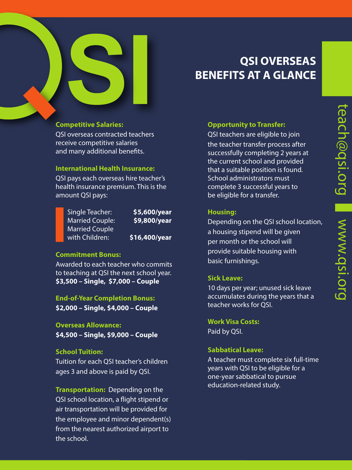# **QSI OVERSEAS BENEFITS AT A GLANCE**

# **SPONDING SALATIES: Competitive Salaries:**

QSI overseas contracted teachers receive competitive salaries and many additional benefits.

# **International Health Insurance:**

QSI pays each overseas hire teacher's health insurance premium. This is the amount QSI pays:

Single Teacher: **\$5,600/year** Married Couple: **\$9,800/year** Married Couple with Children: **\$16,400/year**

# **Commitment Bonus:**

Awarded to each teacher who commits to teaching at QSI the next school year. **\$3,500 – Single, \$7,000 – Couple**

**End-of-Year Completion Bonus: \$2,000 – Single, \$4,000 – Couple**

#### **Overseas Allowance:**

**\$4,500 – Single, \$9,000 – Couple**

### **School Tuition:**

Tuition for each QSI teacher's children ages 3 and above is paid by QSI.

**Transportation:** Depending on the QSI school location, a flight stipend or air transportation will be provided for the employee and minor dependent(s) from the nearest authorized airport to the school.

# **Opportunity to Transfer:**

QSI teachers are eligible to join the teacher transfer process after successfully completing 2 years at the current school and provided that a suitable position is found. School administrators must complete 3 successful years to be eligible for a transfer.

#### **Housing:**

Depending on the QSI school location, a housing stipend will be given per month or the school will provide suitable housing with basic furnishings.

# **Sick Leave:**

10 days per year; unused sick leave accumulates during the years that a teacher works for QSI.

**Work Visa Costs:**  Paid by QSI.

# **Sabbatical Leave:**

A teacher must complete six full-time years with QSI to be eligible for a one-year sabbatical to pursue education-related study.